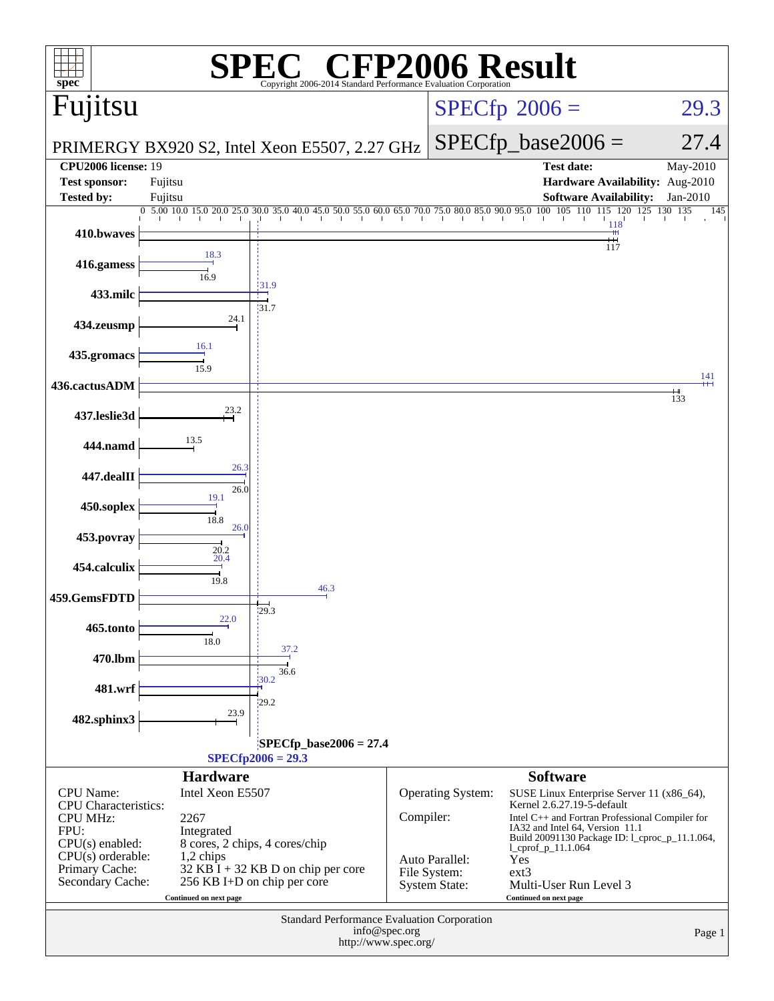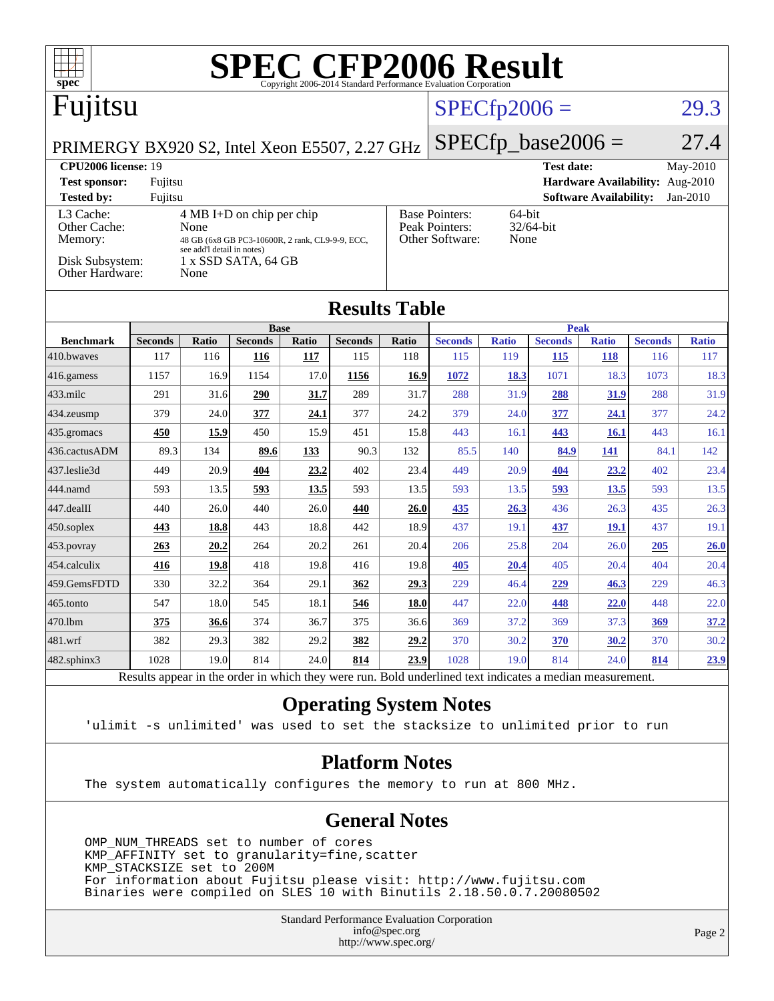| spec <sup>®</sup>                                                                                        |                                                                      |       |                |       | <b>SPEC CFP2006 Result</b>                                     |                |                      |              |                   |                               |                                 |              |
|----------------------------------------------------------------------------------------------------------|----------------------------------------------------------------------|-------|----------------|-------|----------------------------------------------------------------|----------------|----------------------|--------------|-------------------|-------------------------------|---------------------------------|--------------|
| Fujitsu                                                                                                  |                                                                      |       |                |       |                                                                | $SPECfp2006 =$ |                      |              | 29.3              |                               |                                 |              |
| PRIMERGY BX920 S2, Intel Xeon E5507, 2.27 GHz                                                            |                                                                      |       |                |       |                                                                |                | $SPECfp\_base2006 =$ |              |                   |                               | 27.4                            |              |
| <b>CPU2006 license: 19</b>                                                                               |                                                                      |       |                |       |                                                                |                |                      |              | <b>Test date:</b> |                               |                                 | May-2010     |
| <b>Test sponsor:</b>                                                                                     | Fujitsu                                                              |       |                |       |                                                                |                |                      |              |                   |                               | Hardware Availability: Aug-2010 |              |
| <b>Tested by:</b>                                                                                        | Fujitsu                                                              |       |                |       |                                                                |                |                      |              |                   | <b>Software Availability:</b> |                                 | $Jan-2010$   |
| $4 MB I+D$ on chip per chip<br>L3 Cache:<br>Other Cache:<br>None                                         |                                                                      |       |                |       | <b>Base Pointers:</b><br>64-bit<br>Peak Pointers:<br>32/64-bit |                |                      |              |                   |                               |                                 |              |
| Other Software:<br>None<br>Memory:<br>48 GB (6x8 GB PC3-10600R, 2 rank, CL9-9-9, ECC,                    |                                                                      |       |                |       |                                                                |                |                      |              |                   |                               |                                 |              |
|                                                                                                          | see add'l detail in notes)<br>Disk Subsystem:<br>1 x SSD SATA, 64 GB |       |                |       |                                                                |                |                      |              |                   |                               |                                 |              |
| Other Hardware:                                                                                          |                                                                      | None  |                |       |                                                                |                |                      |              |                   |                               |                                 |              |
| <b>Results Table</b>                                                                                     |                                                                      |       |                |       |                                                                |                |                      |              |                   |                               |                                 |              |
|                                                                                                          |                                                                      |       | <b>Base</b>    |       |                                                                |                | <b>Peak</b>          |              |                   |                               |                                 |              |
| <b>Benchmark</b>                                                                                         | <b>Seconds</b>                                                       | Ratio | <b>Seconds</b> | Ratio | <b>Seconds</b>                                                 | Ratio          | <b>Seconds</b>       | <b>Ratio</b> | <b>Seconds</b>    | <b>Ratio</b>                  | <b>Seconds</b>                  | <b>Ratio</b> |
| 410.bwaves                                                                                               | 117                                                                  | 116   | 116            | 117   | 115                                                            | 118            | 115                  | 119          | 115               | 118                           | 116                             | 117          |
| 416.gamess                                                                                               | 1157                                                                 | 16.9  | 1154           | 17.0  | 1156                                                           | 16.9           | 1072                 | 18.3         | 1071              | 18.3                          | 1073                            | 18.3         |
| 433.milc                                                                                                 | 291                                                                  | 31.6  | 290            | 31.7  | 289                                                            | 31.7           | 288                  | 31.9         | 288               | 31.9                          | 288                             | 31.9         |
| 434.zeusmp                                                                                               | 379                                                                  | 24.0  | 377            | 24.1  | 377                                                            | 24.2           | 379                  | 24.0         | 377               | 24.1                          | 377                             | 24.2         |
| 435.gromacs                                                                                              | 450                                                                  | 15.9  | 450            | 15.9  | 451                                                            | 15.8           | 443                  | 16.1         | 443               | 16.1                          | 443                             | 16.1         |
| 436.cactusADM                                                                                            | 89.3                                                                 | 134   | 89.6           | 133   | 90.3                                                           | 132            | 85.5                 | 140          | 84.9              | 141                           | 84.1                            | 142          |
| 437.leslie3d                                                                                             | 449                                                                  | 20.9  | 404            | 23.2  | 402                                                            | 23.4           | 449                  | 20.9         | 404               | 23.2                          | 402                             | 23.4         |
| 444.namd                                                                                                 | 593                                                                  | 13.5  | 593            | 13.5  | 593                                                            | 13.5           | 593                  | 13.5         | 593               | 13.5                          | 593                             | 13.5         |
| 447.dealII                                                                                               | 440                                                                  | 26.0  | 440            | 26.0  | 440                                                            | 26.0           | 435                  | 26.3         | 436               | 26.3                          | 435                             | 26.3         |
| 450.soplex                                                                                               | 443                                                                  | 18.8  | 443            | 18.8  | 442                                                            | 18.9           | 437                  | 19.1         | 437               | 19.1                          | 437                             | 19.1         |
| 453.povray                                                                                               | 263                                                                  | 20.2  | 264            | 20.2  | 261                                                            | 20.4           | 206                  | 25.8         | 204               | 26.0                          | 205                             | 26.0         |
| 454.calculix                                                                                             | 416                                                                  | 19.8  | 418            | 19.8  | 416                                                            | 19.8           | 405                  | 20.4         | 405               | 20.4                          | 404                             | 20.4         |
| 459.GemsFDTD                                                                                             | 330                                                                  | 32.2  | 364            | 29.1  | 362                                                            | 29.3           | 229                  | 46.4         | 229               | 46.3                          | 229                             | 46.3         |
| 465.tonto                                                                                                | 547                                                                  | 18.0  | 545            | 18.1  | 546                                                            | 18.0           | 447                  | 22.0         | 448               | 22.0                          | 448                             | 22.0         |
| 470.1bm                                                                                                  | 375                                                                  | 36.6  | 374            | 36.7  | 375                                                            | 36.6           | 369                  | 37.2         | 369               | 37.3                          | 369                             | 37.2         |
| 481.wrf                                                                                                  | 382                                                                  | 29.3  | 382            | 29.2  | 382                                                            | 29.2           | 370                  | 30.2         | 370               | 30.2                          | 370                             | 30.2         |
| 482.sphinx3                                                                                              | 1028                                                                 | 19.0  | 814            | 24.0  | 814                                                            | 23.9           | 1028                 | 19.0         | 814               | 24.0                          | 814                             | 23.9         |
| Results appear in the order in which they were run. Bold underlined text indicates a median measurement. |                                                                      |       |                |       |                                                                |                |                      |              |                   |                               |                                 |              |

### **[Operating System Notes](http://www.spec.org/auto/cpu2006/Docs/result-fields.html#OperatingSystemNotes)**

'ulimit -s unlimited' was used to set the stacksize to unlimited prior to run

### **[Platform Notes](http://www.spec.org/auto/cpu2006/Docs/result-fields.html#PlatformNotes)**

The system automatically configures the memory to run at 800 MHz.

### **[General Notes](http://www.spec.org/auto/cpu2006/Docs/result-fields.html#GeneralNotes)**

 OMP\_NUM\_THREADS set to number of cores KMP\_AFFINITY set to granularity=fine,scatter KMP\_STACKSIZE set to 200M For information about Fujitsu please visit: <http://www.fujitsu.com> Binaries were compiled on SLES 10 with Binutils 2.18.50.0.7.20080502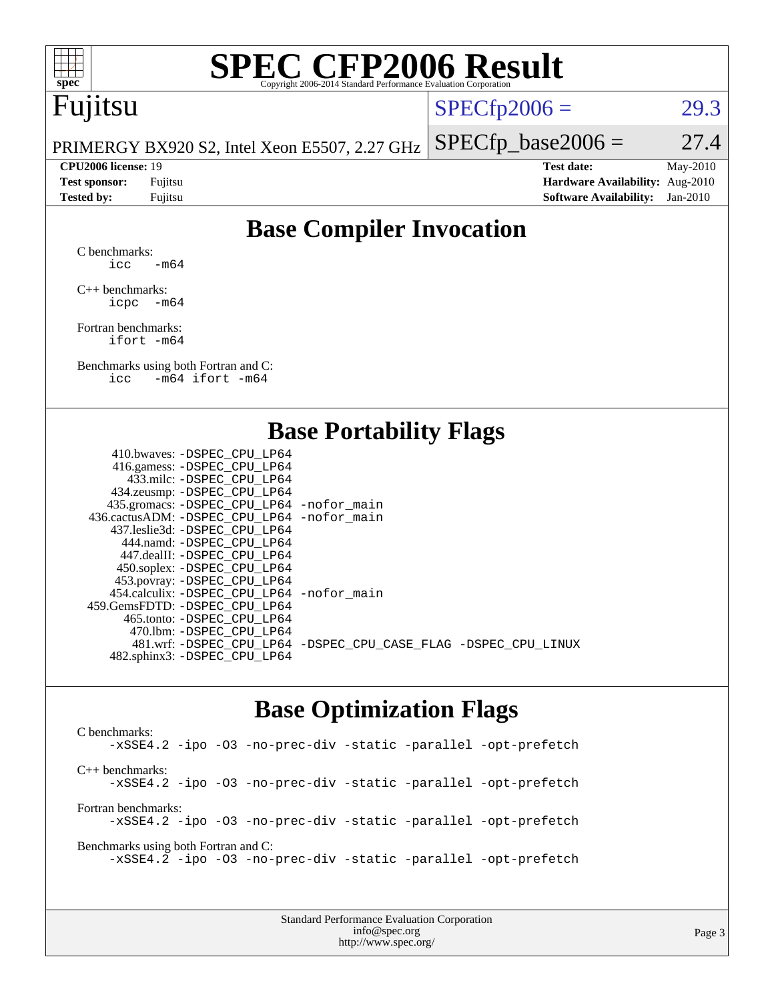

# **[SPEC CFP2006 Result](http://www.spec.org/auto/cpu2006/Docs/result-fields.html#SPECCFP2006Result)**

## Fujitsu

 $SPECTp2006 = 29.3$ 

PRIMERGY BX920 S2, Intel Xeon E5507, 2.27 GHz  $SPECTp\_base2006 = 27.4$ 

**[CPU2006 license:](http://www.spec.org/auto/cpu2006/Docs/result-fields.html#CPU2006license)** 19 **[Test date:](http://www.spec.org/auto/cpu2006/Docs/result-fields.html#Testdate)** May-2010 **[Test sponsor:](http://www.spec.org/auto/cpu2006/Docs/result-fields.html#Testsponsor)** Fujitsu **[Hardware Availability:](http://www.spec.org/auto/cpu2006/Docs/result-fields.html#HardwareAvailability)** Aug-2010 **[Tested by:](http://www.spec.org/auto/cpu2006/Docs/result-fields.html#Testedby)** Fujitsu **[Software Availability:](http://www.spec.org/auto/cpu2006/Docs/result-fields.html#SoftwareAvailability)** Jan-2010

### **[Base Compiler Invocation](http://www.spec.org/auto/cpu2006/Docs/result-fields.html#BaseCompilerInvocation)**

[C benchmarks](http://www.spec.org/auto/cpu2006/Docs/result-fields.html#Cbenchmarks): icc  $-m64$ 

[C++ benchmarks:](http://www.spec.org/auto/cpu2006/Docs/result-fields.html#CXXbenchmarks) [icpc -m64](http://www.spec.org/cpu2006/results/res2010q3/cpu2006-20100702-12082.flags.html#user_CXXbase_intel_icpc_64bit_bedb90c1146cab66620883ef4f41a67e)

[Fortran benchmarks](http://www.spec.org/auto/cpu2006/Docs/result-fields.html#Fortranbenchmarks): [ifort -m64](http://www.spec.org/cpu2006/results/res2010q3/cpu2006-20100702-12082.flags.html#user_FCbase_intel_ifort_64bit_ee9d0fb25645d0210d97eb0527dcc06e)

[Benchmarks using both Fortran and C](http://www.spec.org/auto/cpu2006/Docs/result-fields.html#BenchmarksusingbothFortranandC): [icc -m64](http://www.spec.org/cpu2006/results/res2010q3/cpu2006-20100702-12082.flags.html#user_CC_FCbase_intel_icc_64bit_0b7121f5ab7cfabee23d88897260401c) [ifort -m64](http://www.spec.org/cpu2006/results/res2010q3/cpu2006-20100702-12082.flags.html#user_CC_FCbase_intel_ifort_64bit_ee9d0fb25645d0210d97eb0527dcc06e)

### **[Base Portability Flags](http://www.spec.org/auto/cpu2006/Docs/result-fields.html#BasePortabilityFlags)**

| 410.bwaves: -DSPEC CPU LP64                  |                                                                |
|----------------------------------------------|----------------------------------------------------------------|
| 416.gamess: - DSPEC_CPU_LP64                 |                                                                |
| 433.milc: -DSPEC CPU LP64                    |                                                                |
| 434.zeusmp: -DSPEC_CPU_LP64                  |                                                                |
| 435.gromacs: -DSPEC_CPU_LP64 -nofor_main     |                                                                |
| 436.cactusADM: - DSPEC CPU LP64 - nofor main |                                                                |
| 437.leslie3d: -DSPEC CPU LP64                |                                                                |
| 444.namd: - DSPEC CPU LP64                   |                                                                |
| 447.dealII: - DSPEC CPU LP64                 |                                                                |
| 450.soplex: -DSPEC_CPU_LP64                  |                                                                |
| 453.povray: -DSPEC_CPU_LP64                  |                                                                |
| 454.calculix: - DSPEC CPU LP64 - nofor main  |                                                                |
| 459.GemsFDTD: -DSPEC CPU LP64                |                                                                |
| 465.tonto: - DSPEC CPU LP64                  |                                                                |
| 470.1bm: - DSPEC CPU LP64                    |                                                                |
|                                              | 481.wrf: -DSPEC_CPU_LP64 -DSPEC_CPU_CASE_FLAG -DSPEC_CPU_LINUX |
| 482.sphinx3: -DSPEC_CPU_LP64                 |                                                                |
|                                              |                                                                |

### **[Base Optimization Flags](http://www.spec.org/auto/cpu2006/Docs/result-fields.html#BaseOptimizationFlags)**

[C benchmarks](http://www.spec.org/auto/cpu2006/Docs/result-fields.html#Cbenchmarks): [-xSSE4.2](http://www.spec.org/cpu2006/results/res2010q3/cpu2006-20100702-12082.flags.html#user_CCbase_f-xSSE42_f91528193cf0b216347adb8b939d4107) [-ipo](http://www.spec.org/cpu2006/results/res2010q3/cpu2006-20100702-12082.flags.html#user_CCbase_f-ipo) [-O3](http://www.spec.org/cpu2006/results/res2010q3/cpu2006-20100702-12082.flags.html#user_CCbase_f-O3) [-no-prec-div](http://www.spec.org/cpu2006/results/res2010q3/cpu2006-20100702-12082.flags.html#user_CCbase_f-no-prec-div) [-static](http://www.spec.org/cpu2006/results/res2010q3/cpu2006-20100702-12082.flags.html#user_CCbase_f-static) [-parallel](http://www.spec.org/cpu2006/results/res2010q3/cpu2006-20100702-12082.flags.html#user_CCbase_f-parallel) [-opt-prefetch](http://www.spec.org/cpu2006/results/res2010q3/cpu2006-20100702-12082.flags.html#user_CCbase_f-opt-prefetch) [C++ benchmarks:](http://www.spec.org/auto/cpu2006/Docs/result-fields.html#CXXbenchmarks) [-xSSE4.2](http://www.spec.org/cpu2006/results/res2010q3/cpu2006-20100702-12082.flags.html#user_CXXbase_f-xSSE42_f91528193cf0b216347adb8b939d4107) [-ipo](http://www.spec.org/cpu2006/results/res2010q3/cpu2006-20100702-12082.flags.html#user_CXXbase_f-ipo) [-O3](http://www.spec.org/cpu2006/results/res2010q3/cpu2006-20100702-12082.flags.html#user_CXXbase_f-O3) [-no-prec-div](http://www.spec.org/cpu2006/results/res2010q3/cpu2006-20100702-12082.flags.html#user_CXXbase_f-no-prec-div) [-static](http://www.spec.org/cpu2006/results/res2010q3/cpu2006-20100702-12082.flags.html#user_CXXbase_f-static) [-parallel](http://www.spec.org/cpu2006/results/res2010q3/cpu2006-20100702-12082.flags.html#user_CXXbase_f-parallel) [-opt-prefetch](http://www.spec.org/cpu2006/results/res2010q3/cpu2006-20100702-12082.flags.html#user_CXXbase_f-opt-prefetch) [Fortran benchmarks](http://www.spec.org/auto/cpu2006/Docs/result-fields.html#Fortranbenchmarks): [-xSSE4.2](http://www.spec.org/cpu2006/results/res2010q3/cpu2006-20100702-12082.flags.html#user_FCbase_f-xSSE42_f91528193cf0b216347adb8b939d4107) [-ipo](http://www.spec.org/cpu2006/results/res2010q3/cpu2006-20100702-12082.flags.html#user_FCbase_f-ipo) [-O3](http://www.spec.org/cpu2006/results/res2010q3/cpu2006-20100702-12082.flags.html#user_FCbase_f-O3) [-no-prec-div](http://www.spec.org/cpu2006/results/res2010q3/cpu2006-20100702-12082.flags.html#user_FCbase_f-no-prec-div) [-static](http://www.spec.org/cpu2006/results/res2010q3/cpu2006-20100702-12082.flags.html#user_FCbase_f-static) [-parallel](http://www.spec.org/cpu2006/results/res2010q3/cpu2006-20100702-12082.flags.html#user_FCbase_f-parallel) [-opt-prefetch](http://www.spec.org/cpu2006/results/res2010q3/cpu2006-20100702-12082.flags.html#user_FCbase_f-opt-prefetch) [Benchmarks using both Fortran and C](http://www.spec.org/auto/cpu2006/Docs/result-fields.html#BenchmarksusingbothFortranandC): [-xSSE4.2](http://www.spec.org/cpu2006/results/res2010q3/cpu2006-20100702-12082.flags.html#user_CC_FCbase_f-xSSE42_f91528193cf0b216347adb8b939d4107) [-ipo](http://www.spec.org/cpu2006/results/res2010q3/cpu2006-20100702-12082.flags.html#user_CC_FCbase_f-ipo) [-O3](http://www.spec.org/cpu2006/results/res2010q3/cpu2006-20100702-12082.flags.html#user_CC_FCbase_f-O3) [-no-prec-div](http://www.spec.org/cpu2006/results/res2010q3/cpu2006-20100702-12082.flags.html#user_CC_FCbase_f-no-prec-div) [-static](http://www.spec.org/cpu2006/results/res2010q3/cpu2006-20100702-12082.flags.html#user_CC_FCbase_f-static) [-parallel](http://www.spec.org/cpu2006/results/res2010q3/cpu2006-20100702-12082.flags.html#user_CC_FCbase_f-parallel) [-opt-prefetch](http://www.spec.org/cpu2006/results/res2010q3/cpu2006-20100702-12082.flags.html#user_CC_FCbase_f-opt-prefetch)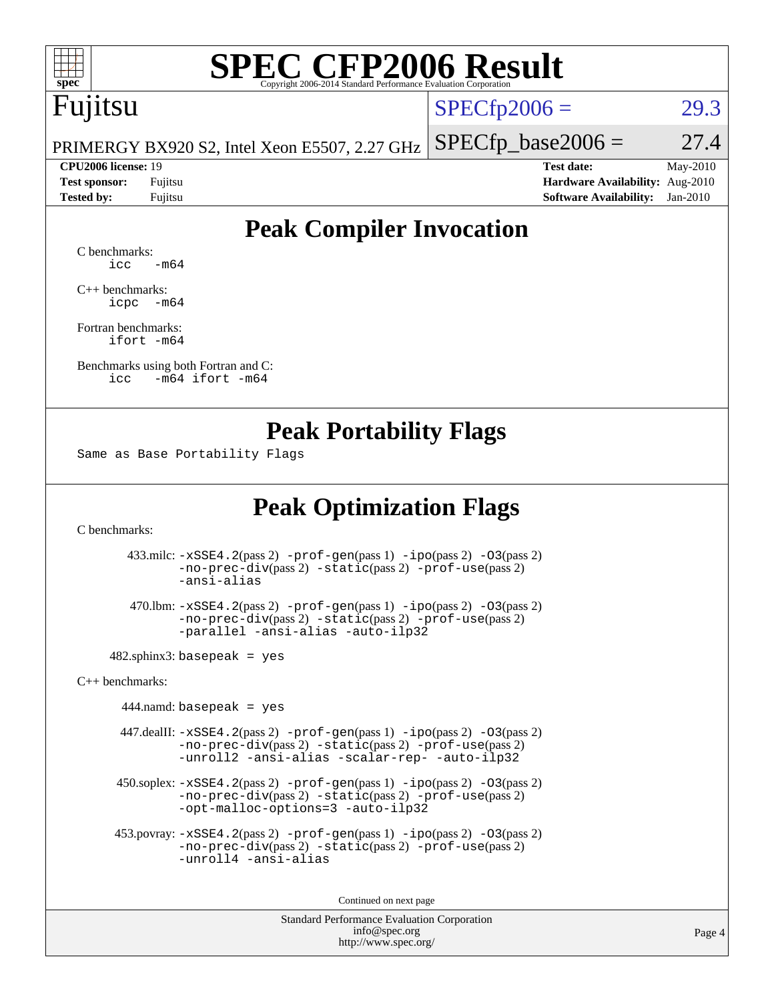

# **[SPEC CFP2006 Result](http://www.spec.org/auto/cpu2006/Docs/result-fields.html#SPECCFP2006Result)**

## Fujitsu

 $SPECTp2006 = 29.3$ 

PRIMERGY BX920 S2, Intel Xeon E5507, 2.27 GHz  $SPECTp\_base2006 = 27.4$ 

**[CPU2006 license:](http://www.spec.org/auto/cpu2006/Docs/result-fields.html#CPU2006license)** 19 **[Test date:](http://www.spec.org/auto/cpu2006/Docs/result-fields.html#Testdate)** May-2010 **[Test sponsor:](http://www.spec.org/auto/cpu2006/Docs/result-fields.html#Testsponsor)** Fujitsu **[Hardware Availability:](http://www.spec.org/auto/cpu2006/Docs/result-fields.html#HardwareAvailability)** Aug-2010 **[Tested by:](http://www.spec.org/auto/cpu2006/Docs/result-fields.html#Testedby)** Fujitsu **[Software Availability:](http://www.spec.org/auto/cpu2006/Docs/result-fields.html#SoftwareAvailability)** Jan-2010

### **[Peak Compiler Invocation](http://www.spec.org/auto/cpu2006/Docs/result-fields.html#PeakCompilerInvocation)**

[C benchmarks](http://www.spec.org/auto/cpu2006/Docs/result-fields.html#Cbenchmarks):  $\text{icc}$   $-\text{m64}$ 

[C++ benchmarks:](http://www.spec.org/auto/cpu2006/Docs/result-fields.html#CXXbenchmarks) [icpc -m64](http://www.spec.org/cpu2006/results/res2010q3/cpu2006-20100702-12082.flags.html#user_CXXpeak_intel_icpc_64bit_bedb90c1146cab66620883ef4f41a67e)

[Fortran benchmarks](http://www.spec.org/auto/cpu2006/Docs/result-fields.html#Fortranbenchmarks): [ifort -m64](http://www.spec.org/cpu2006/results/res2010q3/cpu2006-20100702-12082.flags.html#user_FCpeak_intel_ifort_64bit_ee9d0fb25645d0210d97eb0527dcc06e)

[Benchmarks using both Fortran and C](http://www.spec.org/auto/cpu2006/Docs/result-fields.html#BenchmarksusingbothFortranandC): [icc -m64](http://www.spec.org/cpu2006/results/res2010q3/cpu2006-20100702-12082.flags.html#user_CC_FCpeak_intel_icc_64bit_0b7121f5ab7cfabee23d88897260401c) [ifort -m64](http://www.spec.org/cpu2006/results/res2010q3/cpu2006-20100702-12082.flags.html#user_CC_FCpeak_intel_ifort_64bit_ee9d0fb25645d0210d97eb0527dcc06e)

### **[Peak Portability Flags](http://www.spec.org/auto/cpu2006/Docs/result-fields.html#PeakPortabilityFlags)**

Same as Base Portability Flags

### **[Peak Optimization Flags](http://www.spec.org/auto/cpu2006/Docs/result-fields.html#PeakOptimizationFlags)**

[C benchmarks](http://www.spec.org/auto/cpu2006/Docs/result-fields.html#Cbenchmarks):

 433.milc: [-xSSE4.2](http://www.spec.org/cpu2006/results/res2010q3/cpu2006-20100702-12082.flags.html#user_peakPASS2_CFLAGSPASS2_LDFLAGS433_milc_f-xSSE42_f91528193cf0b216347adb8b939d4107)(pass 2) [-prof-gen](http://www.spec.org/cpu2006/results/res2010q3/cpu2006-20100702-12082.flags.html#user_peakPASS1_CFLAGSPASS1_LDFLAGS433_milc_prof_gen_e43856698f6ca7b7e442dfd80e94a8fc)(pass 1) [-ipo](http://www.spec.org/cpu2006/results/res2010q3/cpu2006-20100702-12082.flags.html#user_peakPASS2_CFLAGSPASS2_LDFLAGS433_milc_f-ipo)(pass 2) [-O3](http://www.spec.org/cpu2006/results/res2010q3/cpu2006-20100702-12082.flags.html#user_peakPASS2_CFLAGSPASS2_LDFLAGS433_milc_f-O3)(pass 2) [-no-prec-div](http://www.spec.org/cpu2006/results/res2010q3/cpu2006-20100702-12082.flags.html#user_peakPASS2_CFLAGSPASS2_LDFLAGS433_milc_f-no-prec-div)(pass 2) [-static](http://www.spec.org/cpu2006/results/res2010q3/cpu2006-20100702-12082.flags.html#user_peakPASS2_CFLAGSPASS2_LDFLAGS433_milc_f-static)(pass 2) [-prof-use](http://www.spec.org/cpu2006/results/res2010q3/cpu2006-20100702-12082.flags.html#user_peakPASS2_CFLAGSPASS2_LDFLAGS433_milc_prof_use_bccf7792157ff70d64e32fe3e1250b55)(pass 2) [-ansi-alias](http://www.spec.org/cpu2006/results/res2010q3/cpu2006-20100702-12082.flags.html#user_peakOPTIMIZE433_milc_f-ansi-alias)

 470.lbm: [-xSSE4.2](http://www.spec.org/cpu2006/results/res2010q3/cpu2006-20100702-12082.flags.html#user_peakPASS2_CFLAGSPASS2_LDFLAGS470_lbm_f-xSSE42_f91528193cf0b216347adb8b939d4107)(pass 2) [-prof-gen](http://www.spec.org/cpu2006/results/res2010q3/cpu2006-20100702-12082.flags.html#user_peakPASS1_CFLAGSPASS1_LDFLAGS470_lbm_prof_gen_e43856698f6ca7b7e442dfd80e94a8fc)(pass 1) [-ipo](http://www.spec.org/cpu2006/results/res2010q3/cpu2006-20100702-12082.flags.html#user_peakPASS2_CFLAGSPASS2_LDFLAGS470_lbm_f-ipo)(pass 2) [-O3](http://www.spec.org/cpu2006/results/res2010q3/cpu2006-20100702-12082.flags.html#user_peakPASS2_CFLAGSPASS2_LDFLAGS470_lbm_f-O3)(pass 2) [-no-prec-div](http://www.spec.org/cpu2006/results/res2010q3/cpu2006-20100702-12082.flags.html#user_peakPASS2_CFLAGSPASS2_LDFLAGS470_lbm_f-no-prec-div)(pass 2) [-static](http://www.spec.org/cpu2006/results/res2010q3/cpu2006-20100702-12082.flags.html#user_peakPASS2_CFLAGSPASS2_LDFLAGS470_lbm_f-static)(pass 2) [-prof-use](http://www.spec.org/cpu2006/results/res2010q3/cpu2006-20100702-12082.flags.html#user_peakPASS2_CFLAGSPASS2_LDFLAGS470_lbm_prof_use_bccf7792157ff70d64e32fe3e1250b55)(pass 2) [-parallel](http://www.spec.org/cpu2006/results/res2010q3/cpu2006-20100702-12082.flags.html#user_peakOPTIMIZE470_lbm_f-parallel) [-ansi-alias](http://www.spec.org/cpu2006/results/res2010q3/cpu2006-20100702-12082.flags.html#user_peakOPTIMIZE470_lbm_f-ansi-alias) [-auto-ilp32](http://www.spec.org/cpu2006/results/res2010q3/cpu2006-20100702-12082.flags.html#user_peakCOPTIMIZE470_lbm_f-auto-ilp32)

 $482$ .sphinx3: basepeak = yes

[C++ benchmarks:](http://www.spec.org/auto/cpu2006/Docs/result-fields.html#CXXbenchmarks)

 $444$ .namd: basepeak = yes

 447.dealII: [-xSSE4.2](http://www.spec.org/cpu2006/results/res2010q3/cpu2006-20100702-12082.flags.html#user_peakPASS2_CXXFLAGSPASS2_LDFLAGS447_dealII_f-xSSE42_f91528193cf0b216347adb8b939d4107)(pass 2) [-prof-gen](http://www.spec.org/cpu2006/results/res2010q3/cpu2006-20100702-12082.flags.html#user_peakPASS1_CXXFLAGSPASS1_LDFLAGS447_dealII_prof_gen_e43856698f6ca7b7e442dfd80e94a8fc)(pass 1) [-ipo](http://www.spec.org/cpu2006/results/res2010q3/cpu2006-20100702-12082.flags.html#user_peakPASS2_CXXFLAGSPASS2_LDFLAGS447_dealII_f-ipo)(pass 2) [-O3](http://www.spec.org/cpu2006/results/res2010q3/cpu2006-20100702-12082.flags.html#user_peakPASS2_CXXFLAGSPASS2_LDFLAGS447_dealII_f-O3)(pass 2) [-no-prec-div](http://www.spec.org/cpu2006/results/res2010q3/cpu2006-20100702-12082.flags.html#user_peakPASS2_CXXFLAGSPASS2_LDFLAGS447_dealII_f-no-prec-div)(pass 2) [-static](http://www.spec.org/cpu2006/results/res2010q3/cpu2006-20100702-12082.flags.html#user_peakPASS2_CXXFLAGSPASS2_LDFLAGS447_dealII_f-static)(pass 2) [-prof-use](http://www.spec.org/cpu2006/results/res2010q3/cpu2006-20100702-12082.flags.html#user_peakPASS2_CXXFLAGSPASS2_LDFLAGS447_dealII_prof_use_bccf7792157ff70d64e32fe3e1250b55)(pass 2) [-unroll2](http://www.spec.org/cpu2006/results/res2010q3/cpu2006-20100702-12082.flags.html#user_peakOPTIMIZE447_dealII_f-unroll_784dae83bebfb236979b41d2422d7ec2) [-ansi-alias](http://www.spec.org/cpu2006/results/res2010q3/cpu2006-20100702-12082.flags.html#user_peakOPTIMIZE447_dealII_f-ansi-alias) [-scalar-rep-](http://www.spec.org/cpu2006/results/res2010q3/cpu2006-20100702-12082.flags.html#user_peakOPTIMIZE447_dealII_f-disablescalarrep_abbcad04450fb118e4809c81d83c8a1d) [-auto-ilp32](http://www.spec.org/cpu2006/results/res2010q3/cpu2006-20100702-12082.flags.html#user_peakCXXOPTIMIZE447_dealII_f-auto-ilp32)

 $450.\text{soplex: } -x\text{SSE4}.2(\text{pass 2}) -\text{prof-gen}(\text{pass 1}) -\text{ipo}(\text{pass 2}) -\text{O3}(\text{pass 2})$ [-no-prec-div](http://www.spec.org/cpu2006/results/res2010q3/cpu2006-20100702-12082.flags.html#user_peakPASS2_CXXFLAGSPASS2_LDFLAGS450_soplex_f-no-prec-div)(pass 2) [-static](http://www.spec.org/cpu2006/results/res2010q3/cpu2006-20100702-12082.flags.html#user_peakPASS2_CXXFLAGSPASS2_LDFLAGS450_soplex_f-static)(pass 2) [-prof-use](http://www.spec.org/cpu2006/results/res2010q3/cpu2006-20100702-12082.flags.html#user_peakPASS2_CXXFLAGSPASS2_LDFLAGS450_soplex_prof_use_bccf7792157ff70d64e32fe3e1250b55)(pass 2) [-opt-malloc-options=3](http://www.spec.org/cpu2006/results/res2010q3/cpu2006-20100702-12082.flags.html#user_peakOPTIMIZE450_soplex_f-opt-malloc-options_13ab9b803cf986b4ee62f0a5998c2238) [-auto-ilp32](http://www.spec.org/cpu2006/results/res2010q3/cpu2006-20100702-12082.flags.html#user_peakCXXOPTIMIZE450_soplex_f-auto-ilp32)

 453.povray: [-xSSE4.2](http://www.spec.org/cpu2006/results/res2010q3/cpu2006-20100702-12082.flags.html#user_peakPASS2_CXXFLAGSPASS2_LDFLAGS453_povray_f-xSSE42_f91528193cf0b216347adb8b939d4107)(pass 2) [-prof-gen](http://www.spec.org/cpu2006/results/res2010q3/cpu2006-20100702-12082.flags.html#user_peakPASS1_CXXFLAGSPASS1_LDFLAGS453_povray_prof_gen_e43856698f6ca7b7e442dfd80e94a8fc)(pass 1) [-ipo](http://www.spec.org/cpu2006/results/res2010q3/cpu2006-20100702-12082.flags.html#user_peakPASS2_CXXFLAGSPASS2_LDFLAGS453_povray_f-ipo)(pass 2) [-O3](http://www.spec.org/cpu2006/results/res2010q3/cpu2006-20100702-12082.flags.html#user_peakPASS2_CXXFLAGSPASS2_LDFLAGS453_povray_f-O3)(pass 2) [-no-prec-div](http://www.spec.org/cpu2006/results/res2010q3/cpu2006-20100702-12082.flags.html#user_peakPASS2_CXXFLAGSPASS2_LDFLAGS453_povray_f-no-prec-div)(pass 2) [-static](http://www.spec.org/cpu2006/results/res2010q3/cpu2006-20100702-12082.flags.html#user_peakPASS2_CXXFLAGSPASS2_LDFLAGS453_povray_f-static)(pass 2) [-prof-use](http://www.spec.org/cpu2006/results/res2010q3/cpu2006-20100702-12082.flags.html#user_peakPASS2_CXXFLAGSPASS2_LDFLAGS453_povray_prof_use_bccf7792157ff70d64e32fe3e1250b55)(pass 2) [-unroll4](http://www.spec.org/cpu2006/results/res2010q3/cpu2006-20100702-12082.flags.html#user_peakCXXOPTIMIZE453_povray_f-unroll_4e5e4ed65b7fd20bdcd365bec371b81f) [-ansi-alias](http://www.spec.org/cpu2006/results/res2010q3/cpu2006-20100702-12082.flags.html#user_peakCXXOPTIMIZE453_povray_f-ansi-alias)

Continued on next page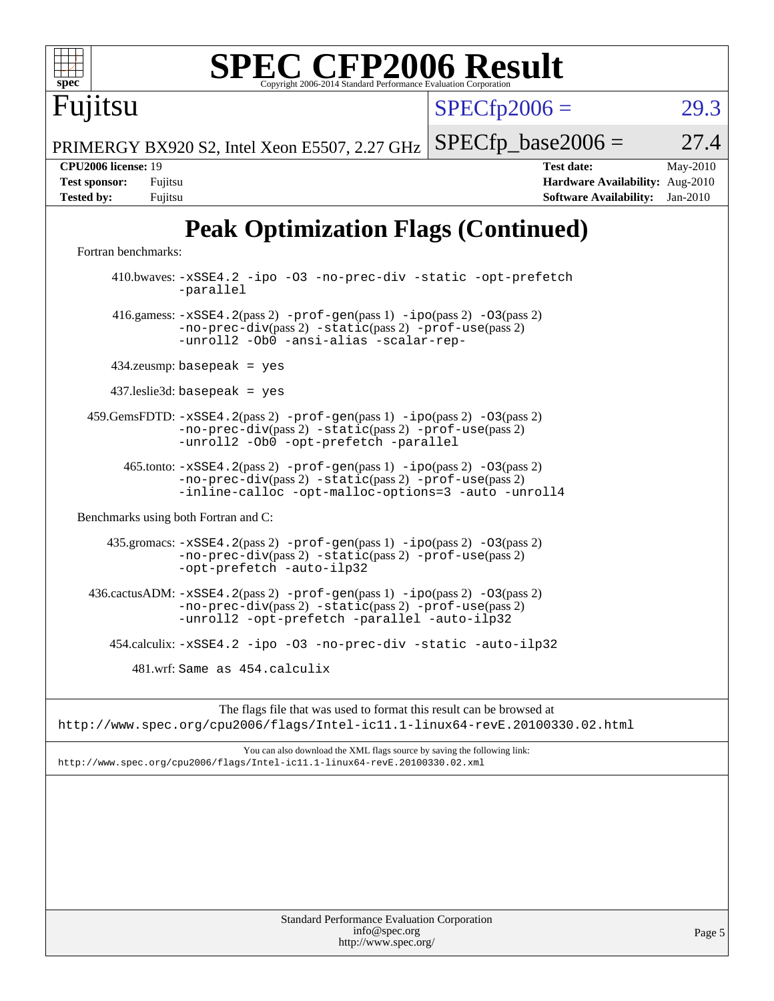# **[SPEC CFP2006 Result](http://www.spec.org/auto/cpu2006/Docs/result-fields.html#SPECCFP2006Result)**

 $SPECTp2006 = 29.3$ 

PRIMERGY BX920 S2, Intel Xeon E5507, 2.27 GHz  $SPECTp\_base2006 = 27.4$ 

Fujitsu

**[CPU2006 license:](http://www.spec.org/auto/cpu2006/Docs/result-fields.html#CPU2006license)** 19 **[Test date:](http://www.spec.org/auto/cpu2006/Docs/result-fields.html#Testdate)** May-2010 **[Test sponsor:](http://www.spec.org/auto/cpu2006/Docs/result-fields.html#Testsponsor)** Fujitsu **[Hardware Availability:](http://www.spec.org/auto/cpu2006/Docs/result-fields.html#HardwareAvailability)** Aug-2010 **[Tested by:](http://www.spec.org/auto/cpu2006/Docs/result-fields.html#Testedby)** Fujitsu **[Software Availability:](http://www.spec.org/auto/cpu2006/Docs/result-fields.html#SoftwareAvailability)** Jan-2010

## **[Peak Optimization Flags \(Continued\)](http://www.spec.org/auto/cpu2006/Docs/result-fields.html#PeakOptimizationFlags)**

[Fortran benchmarks](http://www.spec.org/auto/cpu2006/Docs/result-fields.html#Fortranbenchmarks):

 410.bwaves: [-xSSE4.2](http://www.spec.org/cpu2006/results/res2010q3/cpu2006-20100702-12082.flags.html#user_peakOPTIMIZE410_bwaves_f-xSSE42_f91528193cf0b216347adb8b939d4107) [-ipo](http://www.spec.org/cpu2006/results/res2010q3/cpu2006-20100702-12082.flags.html#user_peakOPTIMIZE410_bwaves_f-ipo) [-O3](http://www.spec.org/cpu2006/results/res2010q3/cpu2006-20100702-12082.flags.html#user_peakOPTIMIZE410_bwaves_f-O3) [-no-prec-div](http://www.spec.org/cpu2006/results/res2010q3/cpu2006-20100702-12082.flags.html#user_peakOPTIMIZE410_bwaves_f-no-prec-div) [-static](http://www.spec.org/cpu2006/results/res2010q3/cpu2006-20100702-12082.flags.html#user_peakOPTIMIZE410_bwaves_f-static) [-opt-prefetch](http://www.spec.org/cpu2006/results/res2010q3/cpu2006-20100702-12082.flags.html#user_peakOPTIMIZE410_bwaves_f-opt-prefetch) [-parallel](http://www.spec.org/cpu2006/results/res2010q3/cpu2006-20100702-12082.flags.html#user_peakOPTIMIZE410_bwaves_f-parallel) 416.gamess: [-xSSE4.2](http://www.spec.org/cpu2006/results/res2010q3/cpu2006-20100702-12082.flags.html#user_peakPASS2_FFLAGSPASS2_LDFLAGS416_gamess_f-xSSE42_f91528193cf0b216347adb8b939d4107)(pass 2) [-prof-gen](http://www.spec.org/cpu2006/results/res2010q3/cpu2006-20100702-12082.flags.html#user_peakPASS1_FFLAGSPASS1_LDFLAGS416_gamess_prof_gen_e43856698f6ca7b7e442dfd80e94a8fc)(pass 1) [-ipo](http://www.spec.org/cpu2006/results/res2010q3/cpu2006-20100702-12082.flags.html#user_peakPASS2_FFLAGSPASS2_LDFLAGS416_gamess_f-ipo)(pass 2) [-O3](http://www.spec.org/cpu2006/results/res2010q3/cpu2006-20100702-12082.flags.html#user_peakPASS2_FFLAGSPASS2_LDFLAGS416_gamess_f-O3)(pass 2) [-no-prec-div](http://www.spec.org/cpu2006/results/res2010q3/cpu2006-20100702-12082.flags.html#user_peakPASS2_FFLAGSPASS2_LDFLAGS416_gamess_f-no-prec-div)(pass 2) [-static](http://www.spec.org/cpu2006/results/res2010q3/cpu2006-20100702-12082.flags.html#user_peakPASS2_FFLAGSPASS2_LDFLAGS416_gamess_f-static)(pass 2) [-prof-use](http://www.spec.org/cpu2006/results/res2010q3/cpu2006-20100702-12082.flags.html#user_peakPASS2_FFLAGSPASS2_LDFLAGS416_gamess_prof_use_bccf7792157ff70d64e32fe3e1250b55)(pass 2) [-unroll2](http://www.spec.org/cpu2006/results/res2010q3/cpu2006-20100702-12082.flags.html#user_peakOPTIMIZE416_gamess_f-unroll_784dae83bebfb236979b41d2422d7ec2) [-Ob0](http://www.spec.org/cpu2006/results/res2010q3/cpu2006-20100702-12082.flags.html#user_peakOPTIMIZE416_gamess_f-Ob_n_fbe6f6428adb7d4b74b1e99bb2444c2d) [-ansi-alias](http://www.spec.org/cpu2006/results/res2010q3/cpu2006-20100702-12082.flags.html#user_peakOPTIMIZE416_gamess_f-ansi-alias) [-scalar-rep-](http://www.spec.org/cpu2006/results/res2010q3/cpu2006-20100702-12082.flags.html#user_peakOPTIMIZE416_gamess_f-disablescalarrep_abbcad04450fb118e4809c81d83c8a1d) 434.zeusmp: basepeak = yes 437.leslie3d: basepeak = yes 459.GemsFDTD: [-xSSE4.2](http://www.spec.org/cpu2006/results/res2010q3/cpu2006-20100702-12082.flags.html#user_peakPASS2_FFLAGSPASS2_LDFLAGS459_GemsFDTD_f-xSSE42_f91528193cf0b216347adb8b939d4107)(pass 2) [-prof-gen](http://www.spec.org/cpu2006/results/res2010q3/cpu2006-20100702-12082.flags.html#user_peakPASS1_FFLAGSPASS1_LDFLAGS459_GemsFDTD_prof_gen_e43856698f6ca7b7e442dfd80e94a8fc)(pass 1) [-ipo](http://www.spec.org/cpu2006/results/res2010q3/cpu2006-20100702-12082.flags.html#user_peakPASS2_FFLAGSPASS2_LDFLAGS459_GemsFDTD_f-ipo)(pass 2) [-O3](http://www.spec.org/cpu2006/results/res2010q3/cpu2006-20100702-12082.flags.html#user_peakPASS2_FFLAGSPASS2_LDFLAGS459_GemsFDTD_f-O3)(pass 2) [-no-prec-div](http://www.spec.org/cpu2006/results/res2010q3/cpu2006-20100702-12082.flags.html#user_peakPASS2_FFLAGSPASS2_LDFLAGS459_GemsFDTD_f-no-prec-div)(pass 2) [-static](http://www.spec.org/cpu2006/results/res2010q3/cpu2006-20100702-12082.flags.html#user_peakPASS2_FFLAGSPASS2_LDFLAGS459_GemsFDTD_f-static)(pass 2) [-prof-use](http://www.spec.org/cpu2006/results/res2010q3/cpu2006-20100702-12082.flags.html#user_peakPASS2_FFLAGSPASS2_LDFLAGS459_GemsFDTD_prof_use_bccf7792157ff70d64e32fe3e1250b55)(pass 2) [-unroll2](http://www.spec.org/cpu2006/results/res2010q3/cpu2006-20100702-12082.flags.html#user_peakOPTIMIZE459_GemsFDTD_f-unroll_784dae83bebfb236979b41d2422d7ec2) [-Ob0](http://www.spec.org/cpu2006/results/res2010q3/cpu2006-20100702-12082.flags.html#user_peakOPTIMIZE459_GemsFDTD_f-Ob_n_fbe6f6428adb7d4b74b1e99bb2444c2d) [-opt-prefetch](http://www.spec.org/cpu2006/results/res2010q3/cpu2006-20100702-12082.flags.html#user_peakOPTIMIZE459_GemsFDTD_f-opt-prefetch) [-parallel](http://www.spec.org/cpu2006/results/res2010q3/cpu2006-20100702-12082.flags.html#user_peakOPTIMIZE459_GemsFDTD_f-parallel) 465.tonto: [-xSSE4.2](http://www.spec.org/cpu2006/results/res2010q3/cpu2006-20100702-12082.flags.html#user_peakPASS2_FFLAGSPASS2_LDFLAGS465_tonto_f-xSSE42_f91528193cf0b216347adb8b939d4107)(pass 2) [-prof-gen](http://www.spec.org/cpu2006/results/res2010q3/cpu2006-20100702-12082.flags.html#user_peakPASS1_FFLAGSPASS1_LDFLAGS465_tonto_prof_gen_e43856698f6ca7b7e442dfd80e94a8fc)(pass 1) [-ipo](http://www.spec.org/cpu2006/results/res2010q3/cpu2006-20100702-12082.flags.html#user_peakPASS2_FFLAGSPASS2_LDFLAGS465_tonto_f-ipo)(pass 2) [-O3](http://www.spec.org/cpu2006/results/res2010q3/cpu2006-20100702-12082.flags.html#user_peakPASS2_FFLAGSPASS2_LDFLAGS465_tonto_f-O3)(pass 2) [-no-prec-div](http://www.spec.org/cpu2006/results/res2010q3/cpu2006-20100702-12082.flags.html#user_peakPASS2_FFLAGSPASS2_LDFLAGS465_tonto_f-no-prec-div)(pass 2) [-static](http://www.spec.org/cpu2006/results/res2010q3/cpu2006-20100702-12082.flags.html#user_peakPASS2_FFLAGSPASS2_LDFLAGS465_tonto_f-static)(pass 2) [-prof-use](http://www.spec.org/cpu2006/results/res2010q3/cpu2006-20100702-12082.flags.html#user_peakPASS2_FFLAGSPASS2_LDFLAGS465_tonto_prof_use_bccf7792157ff70d64e32fe3e1250b55)(pass 2) [-inline-calloc](http://www.spec.org/cpu2006/results/res2010q3/cpu2006-20100702-12082.flags.html#user_peakOPTIMIZE465_tonto_f-inline-calloc) [-opt-malloc-options=3](http://www.spec.org/cpu2006/results/res2010q3/cpu2006-20100702-12082.flags.html#user_peakOPTIMIZE465_tonto_f-opt-malloc-options_13ab9b803cf986b4ee62f0a5998c2238) [-auto](http://www.spec.org/cpu2006/results/res2010q3/cpu2006-20100702-12082.flags.html#user_peakOPTIMIZE465_tonto_f-auto) [-unroll4](http://www.spec.org/cpu2006/results/res2010q3/cpu2006-20100702-12082.flags.html#user_peakOPTIMIZE465_tonto_f-unroll_4e5e4ed65b7fd20bdcd365bec371b81f) [Benchmarks using both Fortran and C](http://www.spec.org/auto/cpu2006/Docs/result-fields.html#BenchmarksusingbothFortranandC): 435.gromacs: [-xSSE4.2](http://www.spec.org/cpu2006/results/res2010q3/cpu2006-20100702-12082.flags.html#user_peakPASS2_CFLAGSPASS2_FFLAGSPASS2_LDFLAGS435_gromacs_f-xSSE42_f91528193cf0b216347adb8b939d4107)(pass 2) [-prof-gen](http://www.spec.org/cpu2006/results/res2010q3/cpu2006-20100702-12082.flags.html#user_peakPASS1_CFLAGSPASS1_FFLAGSPASS1_LDFLAGS435_gromacs_prof_gen_e43856698f6ca7b7e442dfd80e94a8fc)(pass 1) [-ipo](http://www.spec.org/cpu2006/results/res2010q3/cpu2006-20100702-12082.flags.html#user_peakPASS2_CFLAGSPASS2_FFLAGSPASS2_LDFLAGS435_gromacs_f-ipo)(pass 2) [-O3](http://www.spec.org/cpu2006/results/res2010q3/cpu2006-20100702-12082.flags.html#user_peakPASS2_CFLAGSPASS2_FFLAGSPASS2_LDFLAGS435_gromacs_f-O3)(pass 2) [-no-prec-div](http://www.spec.org/cpu2006/results/res2010q3/cpu2006-20100702-12082.flags.html#user_peakPASS2_CFLAGSPASS2_FFLAGSPASS2_LDFLAGS435_gromacs_f-no-prec-div)(pass 2) [-static](http://www.spec.org/cpu2006/results/res2010q3/cpu2006-20100702-12082.flags.html#user_peakPASS2_CFLAGSPASS2_FFLAGSPASS2_LDFLAGS435_gromacs_f-static)(pass 2) [-prof-use](http://www.spec.org/cpu2006/results/res2010q3/cpu2006-20100702-12082.flags.html#user_peakPASS2_CFLAGSPASS2_FFLAGSPASS2_LDFLAGS435_gromacs_prof_use_bccf7792157ff70d64e32fe3e1250b55)(pass 2) [-opt-prefetch](http://www.spec.org/cpu2006/results/res2010q3/cpu2006-20100702-12082.flags.html#user_peakOPTIMIZE435_gromacs_f-opt-prefetch) [-auto-ilp32](http://www.spec.org/cpu2006/results/res2010q3/cpu2006-20100702-12082.flags.html#user_peakCOPTIMIZE435_gromacs_f-auto-ilp32) 436.cactusADM:  $-xSSE4$ . 2(pass 2)  $-prof-gen(pass 1) -ipo(pass 2) -O3(pass 2)$  $-prof-gen(pass 1) -ipo(pass 2) -O3(pass 2)$  $-prof-gen(pass 1) -ipo(pass 2) -O3(pass 2)$  $-prof-gen(pass 1) -ipo(pass 2) -O3(pass 2)$  $-prof-gen(pass 1) -ipo(pass 2) -O3(pass 2)$  $-prof-gen(pass 1) -ipo(pass 2) -O3(pass 2)$ [-no-prec-div](http://www.spec.org/cpu2006/results/res2010q3/cpu2006-20100702-12082.flags.html#user_peakPASS2_CFLAGSPASS2_FFLAGSPASS2_LDFLAGS436_cactusADM_f-no-prec-div)(pass 2) [-static](http://www.spec.org/cpu2006/results/res2010q3/cpu2006-20100702-12082.flags.html#user_peakPASS2_CFLAGSPASS2_FFLAGSPASS2_LDFLAGS436_cactusADM_f-static)(pass 2) [-prof-use](http://www.spec.org/cpu2006/results/res2010q3/cpu2006-20100702-12082.flags.html#user_peakPASS2_CFLAGSPASS2_FFLAGSPASS2_LDFLAGS436_cactusADM_prof_use_bccf7792157ff70d64e32fe3e1250b55)(pass 2) [-unroll2](http://www.spec.org/cpu2006/results/res2010q3/cpu2006-20100702-12082.flags.html#user_peakOPTIMIZE436_cactusADM_f-unroll_784dae83bebfb236979b41d2422d7ec2) [-opt-prefetch](http://www.spec.org/cpu2006/results/res2010q3/cpu2006-20100702-12082.flags.html#user_peakOPTIMIZE436_cactusADM_f-opt-prefetch) [-parallel](http://www.spec.org/cpu2006/results/res2010q3/cpu2006-20100702-12082.flags.html#user_peakOPTIMIZE436_cactusADM_f-parallel) [-auto-ilp32](http://www.spec.org/cpu2006/results/res2010q3/cpu2006-20100702-12082.flags.html#user_peakCOPTIMIZE436_cactusADM_f-auto-ilp32) 454.calculix: [-xSSE4.2](http://www.spec.org/cpu2006/results/res2010q3/cpu2006-20100702-12082.flags.html#user_peakOPTIMIZE454_calculix_f-xSSE42_f91528193cf0b216347adb8b939d4107) [-ipo](http://www.spec.org/cpu2006/results/res2010q3/cpu2006-20100702-12082.flags.html#user_peakOPTIMIZE454_calculix_f-ipo) [-O3](http://www.spec.org/cpu2006/results/res2010q3/cpu2006-20100702-12082.flags.html#user_peakOPTIMIZE454_calculix_f-O3) [-no-prec-div](http://www.spec.org/cpu2006/results/res2010q3/cpu2006-20100702-12082.flags.html#user_peakOPTIMIZE454_calculix_f-no-prec-div) [-static](http://www.spec.org/cpu2006/results/res2010q3/cpu2006-20100702-12082.flags.html#user_peakOPTIMIZE454_calculix_f-static) [-auto-ilp32](http://www.spec.org/cpu2006/results/res2010q3/cpu2006-20100702-12082.flags.html#user_peakCOPTIMIZE454_calculix_f-auto-ilp32) 481.wrf: Same as 454.calculix

The flags file that was used to format this result can be browsed at <http://www.spec.org/cpu2006/flags/Intel-ic11.1-linux64-revE.20100330.02.html>

You can also download the XML flags source by saving the following link: <http://www.spec.org/cpu2006/flags/Intel-ic11.1-linux64-revE.20100330.02.xml>